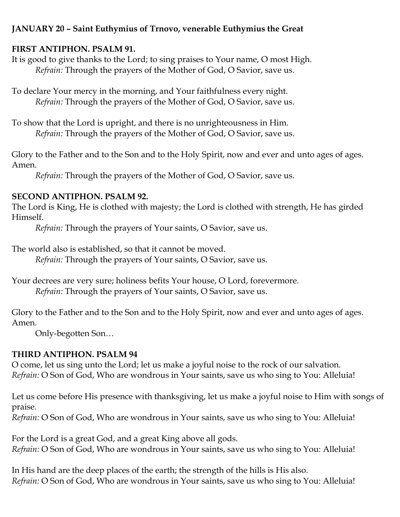## **JANUARY 20 – Saint Euthymius of Trnovo, venerable Euthymius the Great**

## **FIRST ANTIPHON. PSALM 91.**

It is good to give thanks to the Lord; to sing praises to Your name, O most High. *Refrain:* Through the prayers of the Mother of God, O Savior, save us.

To declare Your mercy in the morning, and Your faithfulness every night. *Refrain:* Through the prayers of the Mother of God, O Savior, save us.

To show that the Lord is upright, and there is no unrighteousness in Him. *Refrain:* Through the prayers of the Mother of God, O Savior, save us.

Glory to the Father and to the Son and to the Holy Spirit, now and ever and unto ages of ages. Amen.

*Refrain:* Through the prayers of the Mother of God, O Savior, save us.

# **SECOND ANTIPHON. PSALM 92.**

The Lord is King, He is clothed with majesty; the Lord is clothed with strength, He has girded Himself.

*Refrain:* Through the prayers of Your saints, O Savior, save us.

The world also is established, so that it cannot be moved.

*Refrain:* Through the prayers of Your saints, O Savior, save us.

Your decrees are very sure; holiness befits Your house, O Lord, forevermore. *Refrain:* Through the prayers of Your saints, O Savior, save us.

Glory to the Father and to the Son and to the Holy Spirit, now and ever and unto ages of ages. Amen.

Only-begotten Son…

# **THIRD ANTIPHON. PSALM 94**

O come, let us sing unto the Lord; let us make a joyful noise to the rock of our salvation. *Refrain:* O Son of God, Who are wondrous in Your saints, save us who sing to You: Alleluia!

Let us come before His presence with thanksgiving, let us make a joyful noise to Him with songs of praise.

*Refrain:* O Son of God, Who are wondrous in Your saints, save us who sing to You: Alleluia!

For the Lord is a great God, and a great King above all gods. *Refrain:* O Son of God, Who are wondrous in Your saints, save us who sing to You: Alleluia!

In His hand are the deep places of the earth; the strength of the hills is His also. *Refrain:* O Son of God, Who are wondrous in Your saints, save us who sing to You: Alleluia!